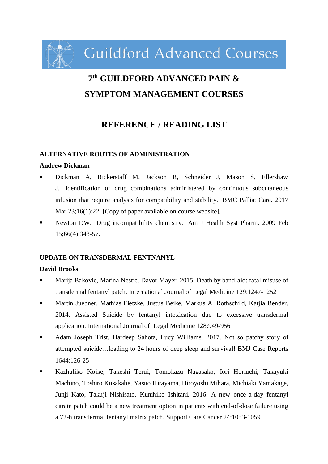**Guildford Advanced Courses** 

# **7 th GUILDFORD ADVANCED PAIN & SYMPTOM MANAGEMENT COURSES**

# **REFERENCE / READING LIST**

#### **ALTERNATIVE ROUTES OF ADMINISTRATION**

#### **Andrew Dickman**

- Dickman A, Bickerstaff M, Jackson R, Schneider J, Mason S, Ellershaw J. Identification of drug combinations administered by continuous subcutaneous infusion that require analysis for compatibility and stability. BMC Palliat Care. 2017 Mar 23;16(1):22. [Copy of paper available on course website].
- Newton DW. Drug incompatibility chemistry. Am J Health Syst Pharm. 2009 Feb 15;66(4):348-57.

#### **UPDATE ON TRANSDERMAL FENTNANYL**

#### **David Brooks**

- Marija Bakovic, Marina Nestic, Davor Mayer. 2015. Death by band-aid: fatal misuse of transdermal fentanyl patch. International Journal of Legal Medicine 129:1247-1252
- Martin Juebner, Mathias Fietzke, Justus Beike, Markus A. Rothschild, Katjia Bender. 2014. Assisted Suicide by fentanyl intoxication due to excessive transdermal application. International Journal of Legal Medicine 128:949-956
- Adam Joseph Trist, Hardeep Sahota, Lucy Williams. 2017. Not so patchy story of attempted suicide…leading to 24 hours of deep sleep and survival! BMJ Case Reports 1644:126-25
- Kazhuliko Koike, Takeshi Terui, Tomokazu Nagasako, Iori Horiuchi, Takayuki Machino, Toshiro Kusakabe, Yasuo Hirayama, Hiroyoshi Mihara, Michiaki Yamakage, Junji Kato, Takuji Nishisato, Kunihiko Ishitani. 2016. A new once-a-day fentanyl citrate patch could be a new treatment option in patients with end-of-dose failure using a 72-h transdermal fentanyl matrix patch. Support Care Cancer 24:1053-1059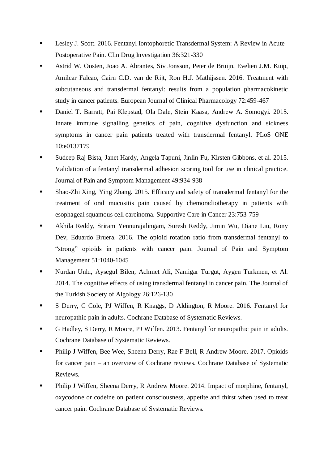- Lesley J. Scott. 2016. Fentanyl Iontophoretic Transdermal System: A Review in Acute Postoperative Pain. Clin Drug Investigation 36:321-330
- Astrid W. Oosten, Joao A. Abrantes, Siv Jonsson, Peter de Bruijn, Evelien J.M. Kuip, Amilcar Falcao, Cairn C.D. van de Rijt, Ron H.J. Mathijssen. 2016. Treatment with subcutaneous and transdermal fentanyl: results from a population pharmacokinetic study in cancer patients. European Journal of Clinical Pharmacology 72:459-467
- Daniel T. Barratt, Pai Klepstad, Ola Dale, Stein Kaasa, Andrew A. Somogyi. 2015. Innate immune signalling genetics of pain, cognitive dysfunction and sickness symptoms in cancer pain patients treated with transdermal fentanyl. PLoS ONE 10:e0137179
- Sudeep Raj Bista, Janet Hardy, Angela Tapuni, Jinlin Fu, Kirsten Gibbons, et al. 2015. Validation of a fentanyl transdermal adhesion scoring tool for use in clinical practice. Journal of Pain and Symptom Management 49:934-938
- Shao-Zhi Xing, Ying Zhang. 2015. Efficacy and safety of transdermal fentanyl for the treatment of oral mucositis pain caused by chemoradiotherapy in patients with esophageal squamous cell carcinoma. Supportive Care in Cancer 23:753-759
- Akhila Reddy, Sriram Yennurajalingam, Suresh Reddy, Jimin Wu, Diane Liu, Rony Dev, Eduardo Bruera. 2016. The opioid rotation ratio from transdermal fentanyl to "strong" opioids in patients with cancer pain. Journal of Pain and Symptom Management 51:1040-1045
- Nurdan Unlu, Aysegul Bilen, Achmet Ali, Namigar Turgut, Aygen Turkmen, et Al. 2014. The cognitive effects of using transdermal fentanyl in cancer pain. The Journal of the Turkish Society of Algology 26:126-130
- S Derry, C Cole, PJ Wiffen, R Knaggs, D Aldington, R Moore. 2016. Fentanyl for neuropathic pain in adults. Cochrane Database of Systematic Reviews.
- G Hadley, S Derry, R Moore, PJ Wiffen. 2013. Fentanyl for neuropathic pain in adults. Cochrane Database of Systematic Reviews.
- Philip J Wiffen, Bee Wee, Sheena Derry, Rae F Bell, R Andrew Moore. 2017. Opioids for cancer pain – an overview of Cochrane reviews. Cochrane Database of Systematic Reviews.
- Philip J Wiffen, Sheena Derry, R Andrew Moore. 2014. Impact of morphine, fentanyl, oxycodone or codeine on patient consciousness, appetite and thirst when used to treat cancer pain. Cochrane Database of Systematic Reviews.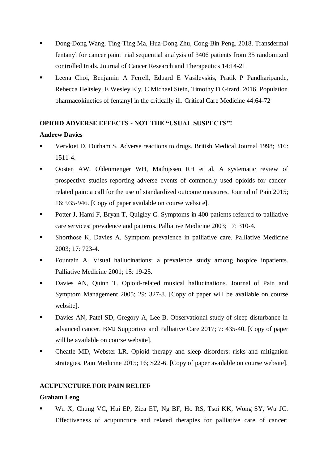- Dong-Dong Wang, Ting-Ting Ma, Hua-Dong Zhu, Cong-Bin Peng. 2018. Transdermal fentanyl for cancer pain: trial sequential analysis of 3406 patients from 35 randomized controlled trials. Journal of Cancer Research and Therapeutics 14:14-21
- Leena Choi, Benjamin A Ferrell, Eduard E Vasilevskis, Pratik P Pandharipande, Rebecca Heltsley, E Wesley Ely, C Michael Stein, Timothy D Girard. 2016. Population pharmacokinetics of fentanyl in the critically ill. Critical Care Medicine 44:64-72

#### **OPIOID ADVERSE EFFECTS - NOT THE "USUAL SUSPECTS"!**

# **Andrew Davies**

- Vervloet D, Durham S. Adverse reactions to drugs. British Medical Journal 1998; 316: 1511-4.
- Oosten AW, Oldenmenger WH, Mathijssen RH et al. A systematic review of prospective studies reporting adverse events of commonly used opioids for cancerrelated pain: a call for the use of standardized outcome measures. Journal of Pain 2015; 16: 935-946. [Copy of paper available on course website].
- **Potter J, Hami F, Bryan T, Quigley C. Symptoms in 400 patients referred to palliative** care services: prevalence and patterns. Palliative Medicine 2003; 17: 310-4.
- Shorthose K, Davies A. Symptom prevalence in palliative care. Palliative Medicine 2003; 17: 723-4.
- Fountain A. Visual hallucinations: a prevalence study among hospice inpatients. Palliative Medicine 2001; 15: 19-25.
- Davies AN, Quinn T. Opioid-related musical hallucinations. Journal of Pain and Symptom Management 2005; 29: 327-8. [Copy of paper will be available on course website].
- Davies AN, Patel SD, Gregory A, Lee B. Observational study of sleep disturbance in advanced cancer. BMJ Supportive and Palliative Care 2017; 7: 435-40. [Copy of paper will be available on course website].
- Cheatle MD, Webster LR. Opioid therapy and sleep disorders: risks and mitigation strategies. Pain Medicine 2015; 16; S22-6. [Copy of paper available on course website].

#### **ACUPUNCTURE FOR PAIN RELIEF**

#### **Graham Leng**

 Wu X, Chung VC, Hui EP, Ziea ET, Ng BF, Ho RS, Tsoi KK, Wong SY, Wu JC. Effectiveness of acupuncture and related therapies for palliative care of cancer: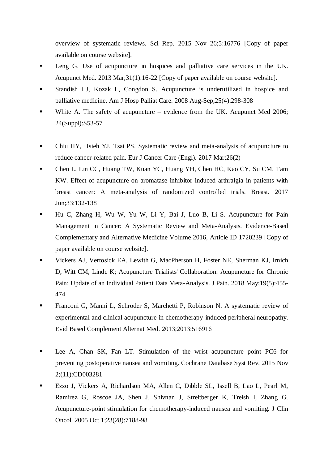overview of systematic reviews. Sci Rep. 2015 Nov 26;5:16776 [Copy of paper available on course website].

- Leng G. Use of acupuncture in hospices and palliative care services in the UK. Acupunct Med. 2013 Mar;31(1):16-22 [Copy of paper available on course website].
- Standish LJ, Kozak L, Congdon S. Acupuncture is underutilized in hospice and palliative medicine. Am J Hosp Palliat Care. 2008 Aug-Sep;25(4):298-308
- White A. The safety of acupuncture evidence from the UK. Acupunct Med 2006; 24(Suppl):S53-57
- Chiu HY, Hsieh YJ, Tsai PS. Systematic review and meta-analysis of acupuncture to reduce cancer-related pain. Eur J Cancer Care (Engl). 2017 Mar;26(2)
- Chen L, Lin CC, Huang TW, Kuan YC, Huang YH, Chen HC, Kao CY, Su CM, Tam KW. Effect of acupuncture on aromatase inhibitor-induced arthralgia in patients with breast cancer: A meta-analysis of randomized controlled trials. Breast. 2017 Jun;33:132-138
- Hu C, Zhang H, Wu W, Yu W, Li Y, Bai J, Luo B, Li S. Acupuncture for Pain Management in Cancer: A Systematic Review and Meta-Analysis. Evidence-Based Complementary and Alternative Medicine Volume 2016, Article ID 1720239 [Copy of paper available on course website].
- Vickers AJ, Vertosick EA, Lewith G, MacPherson H, Foster NE, Sherman KJ, Irnich D, Witt CM, Linde K; Acupuncture Trialists' Collaboration. Acupuncture for Chronic Pain: Update of an Individual Patient Data Meta-Analysis. J Pain. 2018 May;19(5):455- 474
- Franconi G, Manni L, Schröder S, Marchetti P, Robinson N. A systematic review of experimental and clinical acupuncture in chemotherapy-induced peripheral neuropathy. Evid Based Complement Alternat Med. 2013;2013:516916
- Lee A, Chan SK, Fan LT. Stimulation of the wrist acupuncture point PC6 for preventing postoperative nausea and vomiting. Cochrane Database Syst Rev. 2015 Nov 2;(11):CD003281
- Ezzo J, Vickers A, Richardson MA, Allen C, Dibble SL, Issell B, Lao L, Pearl M, Ramirez G, Roscoe JA, Shen J, Shivnan J, Streitberger K, Treish I, Zhang G. Acupuncture-point stimulation for chemotherapy-induced nausea and vomiting. J Clin Oncol. 2005 Oct 1;23(28):7188-98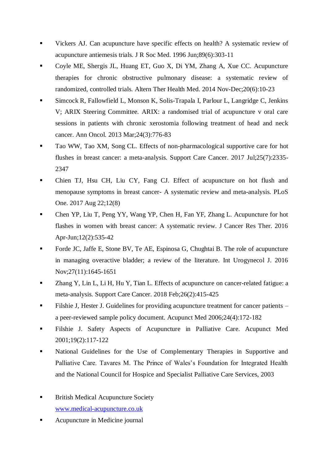- Vickers AJ. Can acupuncture have specific effects on health? A systematic review of acupuncture antiemesis trials. J R Soc Med. 1996 Jun;89(6):303-11
- Coyle ME, Shergis JL, Huang ET, Guo X, Di YM, Zhang A, Xue CC. Acupuncture therapies for chronic obstructive pulmonary disease: a systematic review of randomized, controlled trials. Altern Ther Health Med. 2014 Nov-Dec;20(6):10-23
- Simcock R, Fallowfield L, Monson K, Solis-Trapala I, Parlour L, Langridge C, Jenkins V; ARIX Steering Committee. ARIX: a randomised trial of acupuncture v oral care sessions in patients with chronic xerostomia following treatment of head and neck cancer. Ann Oncol. 2013 Mar;24(3):776-83
- Tao WW, Tao XM, Song CL. Effects of non-pharmacological supportive care for hot flushes in breast cancer: a meta-analysis. Support Care Cancer. 2017 Jul;25(7):2335- 2347
- Chien TJ, Hsu CH, Liu CY, Fang CJ. Effect of acupuncture on hot flush and menopause symptoms in breast cancer- A systematic review and meta-analysis. PLoS One. 2017 Aug 22;12(8)
- Chen YP, Liu T, Peng YY, Wang YP, Chen H, Fan YF, Zhang L. Acupuncture for hot flashes in women with breast cancer: A systematic review. J Cancer Res Ther. 2016 Apr-Jun;12(2):535-42
- Forde JC, Jaffe E, Stone BV, Te AE, Espinosa G, Chughtai B. The role of acupuncture in managing overactive bladder; a review of the literature. Int Urogynecol J. 2016 Nov;27(11):1645-1651
- Zhang Y, Lin L, Li H, Hu Y, Tian L. Effects of acupuncture on cancer-related fatigue: a meta-analysis. Support Care Cancer. 2018 Feb;26(2):415-425
- Filshie J, Hester J. Guidelines for providing acupuncture treatment for cancer patients a peer-reviewed sample policy document. Acupunct Med 2006;24(4):172-182
- Filshie J. Safety Aspects of Acupuncture in Palliative Care. Acupunct Med 2001;19(2):117-122
- National Guidelines for the Use of Complementary Therapies in Supportive and Palliative Care. Tavares M. The Prince of Wales's Foundation for Integrated Health and the National Council for Hospice and Specialist Palliative Care Services, 2003
- British Medical Acupuncture Society [www.medical-acupuncture.co.uk](http://www.medical-acupuncture.co.uk/)
- Acupuncture in Medicine journal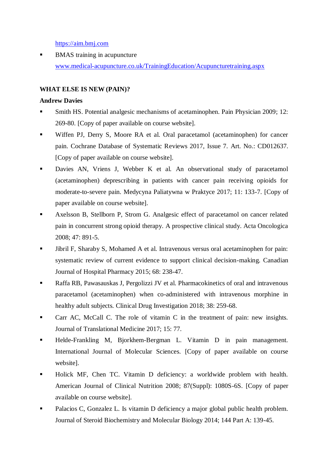[https://aim.bmj.com](https://aim.bmj.com/)

**BMAS** training in acupuncture [www.medical-acupuncture.co.uk/TrainingEducation/Acupuncturetraining.aspx](http://www.medical-acupuncture.co.uk/TrainingEducation/Acupuncturetraining.aspx)

# **WHAT ELSE IS NEW (PAIN)?**

#### **Andrew Davies**

- Smith HS. Potential analgesic mechanisms of acetaminophen. Pain Physician 2009; 12: 269-80. [Copy of paper available on course website].
- Wiffen PJ, Derry S, Moore RA et al. Oral paracetamol (acetaminophen) for cancer pain. Cochrane Database of Systematic Reviews 2017, Issue 7. Art. No.: CD012637. [Copy of paper available on course website].
- Davies AN, Vriens J, Webber K et al. An observational study of paracetamol (acetaminophen) deprescribing in patients with cancer pain receiving opioids for moderate-to-severe pain. Medycyna Paliatywna w Praktyce 2017; 11: 133-7. [Copy of paper available on course website].
- Axelsson B, Stellborn P, Strom G. Analgesic effect of paracetamol on cancer related pain in concurrent strong opioid therapy. A prospective clinical study. Acta Oncologica 2008; 47: 891-5.
- Jibril F, Sharaby S, Mohamed A et al. Intravenous versus oral acetaminophen for pain: systematic review of current evidence to support clinical decision-making. Canadian Journal of Hospital Pharmacy 2015; 68: 238-47.
- Raffa RB, Pawasauskas J, Pergolizzi JV et al. Pharmacokinetics of oral and intravenous paracetamol (acetaminophen) when co-administered with intravenous morphine in healthy adult subjects. Clinical Drug Investigation 2018; 38: 259-68.
- Carr AC, McCall C. The role of vitamin C in the treatment of pain: new insights. Journal of Translational Medicine 2017; 15: 77.
- Helde-Frankling M, Bjorkhem-Bergman L. Vitamin D in pain management. International Journal of Molecular Sciences. [Copy of paper available on course website].
- Holick MF, Chen TC. Vitamin D deficiency: a worldwide problem with health. American Journal of Clinical Nutrition 2008; 87(Suppl): 1080S-6S. [Copy of paper available on course website].
- Palacios C, Gonzalez L. Is vitamin D deficiency a major global public health problem. Journal of Steroid Biochemistry and Molecular Biology 2014; 144 Part A: 139-45.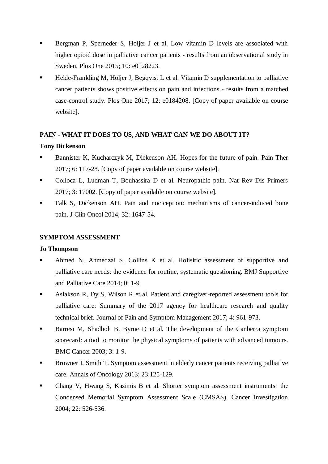- Bergman P, Sperneder S, Holjer J et al. Low vitamin D levels are associated with higher opioid dose in palliative cancer patients - results from an observational study in Sweden. Plos One 2015; 10: e0128223.
- Helde-Frankling M, Holjer J, Begqvist L et al. Vitamin D supplementation to palliative cancer patients shows positive effects on pain and infections - results from a matched case-control study. Plos One 2017; 12: e0184208. [Copy of paper available on course website].

# **PAIN - WHAT IT DOES TO US, AND WHAT CAN WE DO ABOUT IT?**

# **Tony Dickenson**

- Bannister K, Kucharczyk M, Dickenson AH. Hopes for the future of pain. Pain Ther 2017; 6: 117-28. [Copy of paper available on course website].
- Colloca L, Ludman T, Bouhassira D et al. Neuropathic pain. Nat Rev Dis Primers 2017; 3: 17002. [Copy of paper available on course website].
- Falk S, Dickenson AH. Pain and nociception: mechanisms of cancer-induced bone pain. J Clin Oncol 2014; 32: 1647-54.

# **SYMPTOM ASSESSMENT**

#### **Jo Thompson**

- Ahmed N, Ahmedzai S, Collins K et al. Holisitic assessment of supportive and palliative care needs: the evidence for routine, systematic questioning. BMJ Supportive and Palliative Care 2014; 0: 1-9
- **Aslakson R, Dy S, Wilson R et al. Patient and caregiver-reported assessment tools for** palliative care: Summary of the 2017 agency for healthcare research and quality technical brief. Journal of Pain and Symptom Management 2017; 4: 961-973.
- Barresi M, Shadbolt B, Byrne D et al. The development of the Canberra symptom scorecard: a tool to monitor the physical symptoms of patients with advanced tumours. BMC Cancer 2003; 3: 1-9.
- Browner I, Smith T. Symptom assessment in elderly cancer patients receiving palliative care. Annals of Oncology 2013; 23:125-129.
- Chang V, Hwang S, Kasimis B et al. Shorter symptom assessment instruments: the Condensed Memorial Symptom Assessment Scale (CMSAS). Cancer Investigation 2004; 22: 526-536.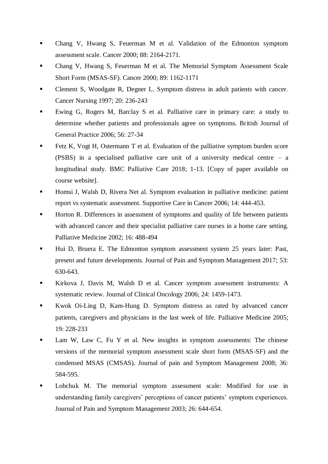- Chang V, Hwang S, Feuerman M et al. Validation of the Edmonton symptom assessment scale. Cancer 2000; 88: 2164-2171.
- Chang V, Hwang S, Feuerman M et al. The Memorial Symptom Assessment Scale Short Form (MSAS-SF). Cancer 2000; 89: 1162-1171
- Clement S, Woodgate R, Degner L. Symptom distress in adult patients with cancer. Cancer Nursing 1997; 20: 236-243
- Ewing G, Rogers M, Barclay S et al. Palliative care in primary care: a study to determine whether patients and professionals agree on symptoms. British Journal of General Practice 2006; 56: 27-34
- Fetz K, Vogt H, Ostermann T et al. Evaluation of the palliative symptom burden score (PSBS) in a specialised palliative care unit of a university medical centre – a longitudinal study. BMC Palliative Care 2018; 1-13. [Copy of paper available on course website].
- Homsi J, Walsh D, Rivera Net al. Symptom evaluation in palliative medicine: patient report vs systematic assessment. Supportive Care in Cancer 2006; 14: 444-453.
- Horton R. Differences in assessment of symptoms and quality of life between patients with advanced cancer and their specialist palliative care nurses in a home care setting. Palliative Medicine 2002; 16: 488-494
- Hui D, Bruera E. The Edmonton symptom assessment system 25 years later: Past, present and future developments. Journal of Pain and Symptom Management 2017; 53: 630-643.
- Kirkova J, Davis M, Walsh D et al. Cancer symptom assessment instruments: A systematic review. Journal of Clinical Oncology 2006; 24: 1459-1473.
- Kwok Oi-Ling D, Kam-Hung D. Symptom distress as rated by advanced cancer patients, caregivers and physicians in the last week of life. Palliative Medicine 2005; 19: 228-233
- Lam W, Law C, Fu Y et al. New insights in symptom assessments: The chinese versions of the memorial symptom assessment scale short form (MSAS-SF) and the condensed MSAS (CMSAS). Journal of pain and Symptom Management 2008; 36: 584-595.
- Lobchuk M. The memorial symptom assessment scale: Modified for use in understanding family caregivers' perceptions of cancer patients' symptom experiences. Journal of Pain and Symptom Management 2003; 26: 644-654.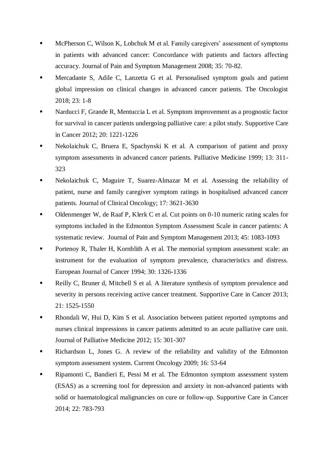- McPherson C, Wilson K, Lobchuk M et al. Family caregivers' assessment of symptoms in patients with advanced cancer: Concordance with patients and factors affecting accuracy. Journal of Pain and Symptom Management 2008; 35: 70-82.
- Mercadante S, Adile C, Lanzetta G et al. Personalised symptom goals and patient global impression on clinical changes in advanced cancer patients. The Oncologist 2018; 23: 1-8
- Narducci F, Grande R, Mentuccia L et al. Symptom improvement as a prognostic factor for survival in cancer patients undergoing palliative care: a pilot study. Supportive Care in Cancer 2012; 20: 1221-1226
- Nekolaichuk C, Bruera E, Spachynski K et al. A comparison of patient and proxy symptom assessments in advanced cancer patients. Palliative Medicine 1999; 13: 311- 323
- Nekolaichuk C, Maguire T, Suarez-Almazar M et al. Assessing the reliability of patient, nurse and family caregiver symptom ratings in hospitalised advanced cancer patients. Journal of Clinical Oncology; 17: 3621-3630
- Oldenmenger W, de Raaf P, Klerk C et al. Cut points on 0-10 numeric rating scales for symptoms included in the Edmonton Symptom Assessment Scale in cancer patients: A systematic review. Journal of Pain and Symptom Management 2013; 45: 1083-1093
- Portenoy R, Thaler H, Kornblith A et al. The memorial symptom assessment scale: an instrument for the evaluation of symptom prevalence, characteristics and distress. European Journal of Cancer 1994; 30: 1326-1336
- Reilly C, Bruner d, Mitchell S et al. A literature synthesis of symptom prevalence and severity in persons receiving active cancer treatment. Supportive Care in Cancer 2013; 21: 1525-1550
- Rhondali W, Hui D, Kim S et al. Association between patient reported symptoms and nurses clinical impressions in cancer patients admitted to an acute palliative care unit. Journal of Palliative Medicine 2012; 15: 301-307
- Richardson L, Jones G. A review of the reliability and validity of the Edmonton symptom assessment system. Current Oncology 2009; 16: 53-64
- Ripamonti C, Bandieri E, Pessi M et al. The Edmonton symptom assessment system (ESAS) as a screening tool for depression and anxiety in non-advanced patients with solid or haematological malignancies on cure or follow-up. Supportive Care in Cancer 2014; 22: 783-793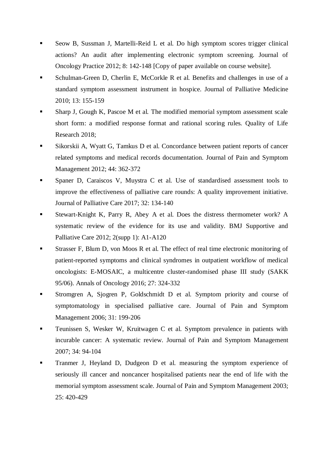- Seow B, Sussman J, Martelli-Reid L et al. Do high symptom scores trigger clinical actions? An audit after implementing electronic symptom screening. Journal of Oncology Practice 2012; 8: 142-148 [Copy of paper available on course website].
- Schulman-Green D, Cherlin E, McCorkle R et al. Benefits and challenges in use of a standard symptom assessment instrument in hospice. Journal of Palliative Medicine 2010; 13: 155-159
- Sharp J, Gough K, Pascoe M et al. The modified memorial symptom assessment scale short form: a modified response format and rational scoring rules. Quality of Life Research 2018;
- Sikorskii A, Wyatt G, Tamkus D et al. Concordance between patient reports of cancer related symptoms and medical records documentation. Journal of Pain and Symptom Management 2012; 44: 362-372
- Spaner D, Caraiscos V, Muystra C et al. Use of standardised assessment tools to improve the effectiveness of palliative care rounds: A quality improvement initiative. Journal of Palliative Care 2017; 32: 134-140
- Stewart-Knight K, Parry R, Abey A et al. Does the distress thermometer work? A systematic review of the evidence for its use and validity. BMJ Supportive and Palliative Care 2012; 2(supp 1): A1-A120
- Strasser F, Blum D, von Moos R et al. The effect of real time electronic monitoring of patient-reported symptoms and clinical syndromes in outpatient workflow of medical oncologists: E-MOSAIC, a multicentre cluster-randomised phase III study (SAKK 95/06). Annals of Oncology 2016; 27: 324-332
- Stromgren A, Sjogren P, Goldschmidt D et al. Symptom priority and course of symptomatology in specialised palliative care. Journal of Pain and Symptom Management 2006; 31: 199-206
- Teunissen S, Wesker W, Kruitwagen C et al. Symptom prevalence in patients with incurable cancer: A systematic review. Journal of Pain and Symptom Management 2007; 34: 94-104
- Tranmer J, Heyland D, Dudgeon D et al. measuring the symptom experience of seriously ill cancer and noncancer hospitalised patients near the end of life with the memorial symptom assessment scale. Journal of Pain and Symptom Management 2003; 25: 420-429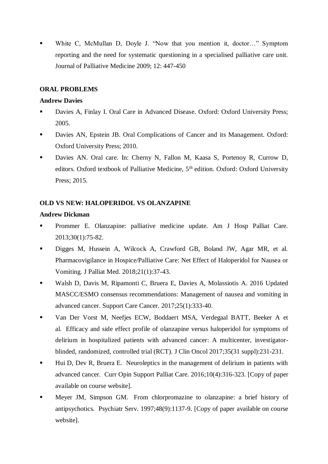White C, McMullan D, Doyle J. "Now that you mention it, doctor…" Symptom reporting and the need for systematic questioning in a specialised palliative care unit. Journal of Palliative Medicine 2009; 12: 447-450

#### **ORAL PROBLEMS**

#### **Andrew Davies**

- Davies A, Finlay I. Oral Care in Advanced Disease. Oxford: Oxford University Press; 2005.
- Davies AN, Epstein JB. Oral Complications of Cancer and its Management. Oxford: Oxford University Press; 2010.
- Davies AN. Oral care. In: Cherny N, Fallon M, Kaasa S, Portenoy R, Currow D, editors. Oxford textbook of Palliative Medicine, 5<sup>th</sup> edition. Oxford: Oxford University Press; 2015.

# **OLD VS NEW: HALOPERIDOL VS OLANZAPINE**

#### **Andrew Dickman**

- Prommer E. Olanzapine: palliative medicine update. Am J Hosp Palliat Care. 2013;30(1):75-82.
- Digges M, Hussein A, Wilcock A, Crawford GB, Boland JW, Agar MR, et al. Pharmacovigilance in Hospice/Palliative Care: Net Effect of Haloperidol for Nausea or Vomiting. J Palliat Med. 2018;21(1):37-43.
- Walsh D, Davis M, Ripamonti C, Bruera E, Davies A, Molassiotis A. 2016 Updated MASCC/ESMO consensus recommendations: Management of nausea and vomiting in advanced cancer. Support Care Cancer. 2017;25(1):333-40.
- Van Der Vorst M, Neefjes ECW, Boddaert MSA, Verdegaal BATT, Beeker A et al. Efficacy and side effect profile of olanzapine versus haloperidol for symptoms of delirium in hospitalized patients with advanced cancer: A multicenter, investigatorblinded, randomized, controlled trial (RCT). J Clin Oncol 2017;35(31 suppl):231-231.
- **Hui D, Dev R, Bruera E.** Neuroleptics in the management of delirium in patients with advanced cancer. Curr Opin Support Palliat Care. 2016;10(4):316-323. [Copy of paper available on course website].
- Meyer JM, Simpson GM. From chlorpromazine to olanzapine: a brief history of antipsychotics. Psychiatr Serv. 1997;48(9):1137-9. [Copy of paper available on course website].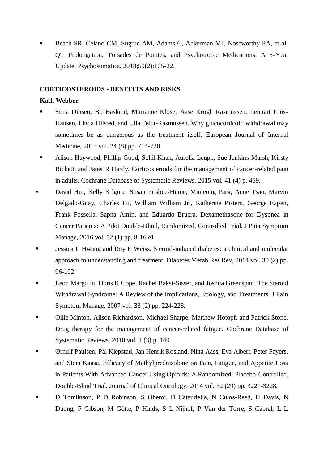Beach SR, Celano CM, Sugrue AM, Adams C, Ackerman MJ, Noseworthy PA, et al. QT Prolongation, Torsades de Pointes, and Psychotropic Medications: A 5-Year Update. Psychosomatics. 2018;59(2):105-22.

#### **CORTICOSTEROIDS - BENEFITS AND RISKS**

#### **Kath Webber**

- Stina Dinsen, Bo Baslund, Marianne Klose, Aase Krogh Rasmussen, Lennart Friis-Hansen, Linda Hilsted, and Ulla Feldt-Rasmussen. Why glucocorticoid withdrawal may sometimes be as dangerous as the treatment itself. European Journal of Internal Medicine, 2013 vol. 24 (8) pp. 714-720.
- Alison Haywood, Phillip Good, Sohil Khan, Aurelia Leupp, Sue Jenkins-Marsh, Kirsty Rickett, and Janet R Hardy. Corticosteroids for the management of cancer-related pain in adults. Cochrane Database of Systematic Reviews, 2015 vol. 41 (4) p. 459.
- David Hui, Kelly Kilgore, Susan Frisbee-Hume, Minjeong Park, Anne Tsao, Marvin Delgado-Guay, Charles Lu, William William Jr., Katherine Pisters, George Eapen, Frank Fossella, Sapna Amin, and Eduardo Bruera. Dexamethasone for Dyspnea in Cancer Patients: A Pilot Double-Blind, Randomized, Controlled Trial. J Pain Symptom Manage, 2016 vol. 52 (1) pp. 8-16.e1.
- Jessica L Hwang and Roy E Weiss. Steroid-induced diabetes: a clinical and molecular approach to understanding and treatment. Diabetes Metab Res Rev, 2014 vol. 30 (2) pp. 96-102.
- Leon Margolin, Doris K Cope, Rachel Bakst-Sisser, and Joshua Greenspan. The Steroid Withdrawal Syndrome: A Review of the Implications, Etiology, and Treatments. J Pain Symptom Manage, 2007 vol. 33 (2) pp. 224-228.
- Ollie Minton, Alison Richardson, Michael Sharpe, Matthew Hotopf, and Patrick Stone. Drug therapy for the management of cancer-related fatigue. Cochrane Database of Systematic Reviews, 2010 vol. 1 (3) p. 140.
- Ørnulf Paulsen, Pål Klepstad, Jan Henrik Rosland, Nina Aass, Eva Albert, Peter Fayers, and Stein Kaasa. Efficacy of Methylprednisolone on Pain, Fatigue, and Appetite Loss in Patients With Advanced Cancer Using Opioids: A Randomized, Placebo-Controlled, Double-Blind Trial. Journal of Clinical Oncology, 2014 vol. 32 (29) pp. 3221-3228.
- D Tomlinson, P D Robinson, S Oberoi, D Cataudella, N Culos-Reed, H Davis, N Duong, F Gibson, M Götte, P Hinds, S L Nijhof, P Van der Torre, S Cabral, L L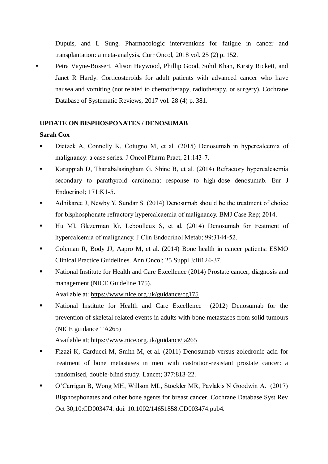Dupuis, and L Sung. Pharmacologic interventions for fatigue in cancer and transplantation: a meta-analysis. Curr Oncol, 2018 vol. 25 (2) p. 152.

 Petra Vayne-Bossert, Alison Haywood, Phillip Good, Sohil Khan, Kirsty Rickett, and Janet R Hardy. Corticosteroids for adult patients with advanced cancer who have nausea and vomiting (not related to chemotherapy, radiotherapy, or surgery). Cochrane Database of Systematic Reviews, 2017 vol. 28 (4) p. 381.

#### **UPDATE ON BISPHOSPONATES / DENOSUMAB**

#### **Sarah Cox**

- [Dietzek](https://www.uptodate.com/contents/treatment-of-hypercalcemia/abstract/51) [A, Connelly K, Cotugno](https://www.uptodate.com/contents/treatment-of-hypercalcemia/abstract/51) [M, et al. \(](https://www.uptodate.com/contents/treatment-of-hypercalcemia/abstract/51)2015) [Denosumab](https://www.uptodate.com/contents/treatment-of-hypercalcemia/abstract/51) [in hypercalcemia](https://www.uptodate.com/contents/treatment-of-hypercalcemia/abstract/51) [of](https://www.uptodate.com/contents/treatment-of-hypercalcemia/abstract/51)  [malignancy: a case series. J Oncol](https://www.uptodate.com/contents/treatment-of-hypercalcemia/abstract/51) [Pharm Pract; 21:143-7.](https://www.uptodate.com/contents/treatment-of-hypercalcemia/abstract/51)
- [Karuppiah](https://www.uptodate.com/contents/treatment-of-hypercalcemia/abstract/52) [D, Thanabalasingham](https://www.uptodate.com/contents/treatment-of-hypercalcemia/abstract/52) [G, Shine B, et al. \(2014\) Refractory hypercalcaemia](https://www.uptodate.com/contents/treatment-of-hypercalcemia/abstract/52) [secondary to parathyroid carcinoma: response to high-dose denosumab. Eur](https://www.uptodate.com/contents/treatment-of-hypercalcemia/abstract/52) [J](https://www.uptodate.com/contents/treatment-of-hypercalcemia/abstract/52)  [Endocrinol; 171:K1-5.](https://www.uptodate.com/contents/treatment-of-hypercalcemia/abstract/52)
- [Adhikaree](https://www.uptodate.com/contents/treatment-of-hypercalcemia/abstract/53) [J, Newby Y, Sundar](https://www.uptodate.com/contents/treatment-of-hypercalcemia/abstract/53) [S. \(](https://www.uptodate.com/contents/treatment-of-hypercalcemia/abstract/53)2014) [Denosumab](https://www.uptodate.com/contents/treatment-of-hypercalcemia/abstract/53) [should be the treatment of choice](https://www.uptodate.com/contents/treatment-of-hypercalcemia/abstract/53)  [for bisphosphonate refractory hypercalcaemia](https://www.uptodate.com/contents/treatment-of-hypercalcemia/abstract/53) [of malignancy. BMJ Case Rep; 2014.](https://www.uptodate.com/contents/treatment-of-hypercalcemia/abstract/53)
- [Hu MI, Glezerman](https://www.uptodate.com/contents/treatment-of-hypercalcemia/abstract/54) [IG, Leboulleux](https://www.uptodate.com/contents/treatment-of-hypercalcemia/abstract/54) [S, et al. \(](https://www.uptodate.com/contents/treatment-of-hypercalcemia/abstract/54)2014) [Denosumab](https://www.uptodate.com/contents/treatment-of-hypercalcemia/abstract/54) [for treatment of](https://www.uptodate.com/contents/treatment-of-hypercalcemia/abstract/54)  [hypercalcemia](https://www.uptodate.com/contents/treatment-of-hypercalcemia/abstract/54) [of malignancy. J Clin](https://www.uptodate.com/contents/treatment-of-hypercalcemia/abstract/54) [Endocrinol](https://www.uptodate.com/contents/treatment-of-hypercalcemia/abstract/54) [Metab; 99:3144-52.](https://www.uptodate.com/contents/treatment-of-hypercalcemia/abstract/54)
- [Coleman R, Body JJ, Aapro M, et al. \(2014\) Bone health in cancer patients: ESMO](https://www.uptodate.com/contents/osteoclast-inhibitors-for-patients-with-bone-metastases-from-breast-prostate-and-other-solid-tumors/abstract/21)  [Clinical Practice Guidelines. Ann Oncol; 25 Suppl 3:iii124-37.](https://www.uptodate.com/contents/osteoclast-inhibitors-for-patients-with-bone-metastases-from-breast-prostate-and-other-solid-tumors/abstract/21)
- National Institute for Health and Care Excellence (2014) Prostate cancer; diagnosis and management (NICE Guideline 175). Available at: <https://www.nice.org.uk/guidance/cg175>
- National Institute for Health and Care Excellence (2012) Denosumab for the prevention of skeletal-related events in adults with bone metastases from solid tumours (NICE guidance TA265)

Available at;<https://www.nice.org.uk/guidance/ta265>

- [Fizazi K, Carducci M, Smith M, et al. \(2011\) Denosumab versus zoledronic acid for](https://www.uptodate.com/contents/osteoclast-inhibitors-for-patients-with-bone-metastases-from-breast-prostate-and-other-solid-tumors/abstract/8)  [treatment of bone metastases in men with castration-resistant prostate cancer: a](https://www.uptodate.com/contents/osteoclast-inhibitors-for-patients-with-bone-metastases-from-breast-prostate-and-other-solid-tumors/abstract/8)  [randomised, double-blind study. Lancet; 377:813-22.](https://www.uptodate.com/contents/osteoclast-inhibitors-for-patients-with-bone-metastases-from-breast-prostate-and-other-solid-tumors/abstract/8)
- O'Carrigan B, Wong MH, Willson ML, Stockler MR, Pavlakis N Goodwin A. (2017) Bisphosphonates and other bone agents for breast cancer. Cochrane Database Syst Rev Oct 30;10:CD003474. doi: 10.1002/14651858.CD003474.pub4.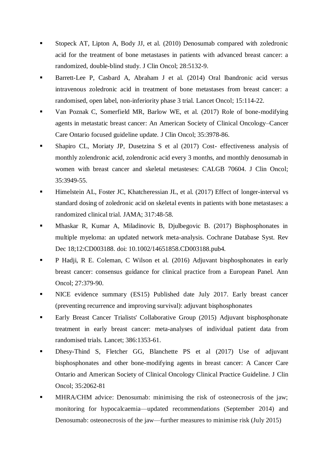- [Stopeck AT, Lipton A, Body JJ, et al. \(2010\) Denosumab compared with zoledronic](https://www.uptodate.com/contents/osteoclast-inhibitors-for-patients-with-bone-metastases-from-breast-prostate-and-other-solid-tumors/abstract/10)  [acid for the treatment of bone metastases in patients with advanced breast cancer: a](https://www.uptodate.com/contents/osteoclast-inhibitors-for-patients-with-bone-metastases-from-breast-prostate-and-other-solid-tumors/abstract/10)  [randomized, double-blind study. J Clin Oncol; 28:5132-9.](https://www.uptodate.com/contents/osteoclast-inhibitors-for-patients-with-bone-metastases-from-breast-prostate-and-other-solid-tumors/abstract/10)
- Barrett-Lee P, Casbard A, Abraham J et al. (2014) Oral Ibandronic acid versus intravenous zoledronic acid in treatment of bone metastases from breast cancer: a randomised, open label, non-inferiority phase 3 trial. Lancet Oncol; 15:114-22.
- Van Poznak C, Somerfield MR, Barlow WE, et al. (2017) Role of bone-modifying agents in metastatic breast cancer: An American Society of Clinical Oncology–Cancer Care Ontario focused guideline update. [J Clin Oncol;](http://ascopubs.org/doi/10.1200/JCO.2017.75.4614) 35:3978-86.
- Shapiro CL, Moriaty JP, Dusetzina S et al (2017) Cost- effectiveness analysis of monthly zolendronic acid, zolendronic acid every 3 months, and monthly denosumab in women with breast cancer and skeletal metasteses: CALGB 70604. J Clin Oncol; 35:3949-55.
- [Himelstein AL, Foster JC, Khatcheressian JL, et al. \(2017\) Effect of longer-interval vs](https://www.uptodate.com/contents/osteoclast-inhibitors-for-patients-with-bone-metastases-from-breast-prostate-and-other-solid-tumors/abstract/9)  [standard dosing of zoledronic acid on skeletal events in patients with bone metastases: a](https://www.uptodate.com/contents/osteoclast-inhibitors-for-patients-with-bone-metastases-from-breast-prostate-and-other-solid-tumors/abstract/9)  [randomized clinical trial. JAMA; 317:48-58.](https://www.uptodate.com/contents/osteoclast-inhibitors-for-patients-with-bone-metastases-from-breast-prostate-and-other-solid-tumors/abstract/9)
- Mhaskar R, Kumar A, Miladinovic B, Djulbegovic B. (2017) Bisphosphonates in multiple myeloma: an updated network meta-analysis. Cochrane Database Syst. Rev Dec 18;12:CD003188. doi: 10.1002/14651858.CD003188.pub4.
- P Hadji, R E. Coleman, C Wilson et al. (2016) Adjuvant bisphosphonates in early breast cancer: consensus guidance for clinical practice from a European Panel. Ann Oncol; 27:379-90.
- I NICE evidence summary (ES15) Published date July 2017. Early breast cancer (preventing recurrence and improving survival): adjuvant bisphosphonates
- Early Breast Cancer Trialists' Collaborative Group (2015) Adjuvant bisphosphonate treatment in early breast cancer: meta-analyses of individual patient data from randomised trials. Lancet; 386:1353-61.
- Dhesy-Thind S, Fletcher GG, Blanchette PS et al (2017) Use of adjuvant bisphosphonates and other bone-modifying agents in breast cancer: A Cancer Care Ontario and American Society of Clinical Oncology Clinical Practice Guideline. J Clin Oncol; 35:2062-81
- MHRA/CHM advice: Denosumab: minimising the risk of osteonecrosis of the jaw; monitoring for hypocalcaemia—updated recommendations (September 2014) and Denosumab: osteonecrosis of the jaw—further measures to minimise risk (July 2015)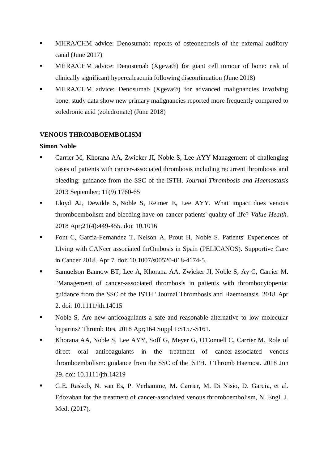- MHRA/CHM advice: Denosumab: reports of osteonecrosis of the external auditory canal (June 2017)
- MHRA/CHM advice: Denosumab (Xgeva®) for giant cell tumour of bone: risk of clinically significant hypercalcaemia following discontinuation (June 2018)
- MHRA/CHM advice: Denosumab (Xgeva®) for advanced malignancies involving bone: study data show new primary malignancies reported more frequently compared to zoledronic acid (zoledronate) (June 2018)

#### **VENOUS THROMBOEMBOLISM**

#### **Simon Noble**

- Carrier M, Khorana AA, Zwicker JI, Noble S, Lee AYY Management of challenging cases of patients with cancer-associated thrombosis including recurrent thrombosis and bleeding: guidance from the SSC of the ISTH. *Journal Thrombosis and Haemostasis* 2013 September; 11(9) 1760-65
- Lloyd AJ, Dewilde S, Noble S, Reimer E, Lee AYY. What impact does venous thromboembolism and bleeding have on cancer patients' quality of life? *Value Health.* 2018 Apr;21(4):449-455. doi: 10.1016
- Font C, Garcia-Fernandez T, Nelson A, Prout H, Noble S. Patients' Experiences of LIving with CANcer associated thrOmbosis in Spain (PELICANOS). Supportive Care in Cancer 2018. Apr 7. doi: 10.1007/s00520-018-4174-5.
- Samuelson Bannow BT, Lee A, Khorana AA, Zwicker JI, Noble S, Ay C, Carrier M. "Management of cancer-associated thrombosis in patients with thrombocytopenia: guidance from the SSC of the ISTH" Journal Thrombosis and Haemostasis. 2018 Apr 2. doi: 10.1111/jth.14015
- Noble S. Are new anticoagulants a safe and reasonable alternative to low molecular heparins? Thromb Res. 2018 Apr;164 Suppl 1:S157-S161.
- Khorana AA, Noble S, Lee AYY, Soff G, Meyer G, O'Connell C, Carrier M. Role of direct oral anticoagulants in the treatment of cancer-associated venous thromboembolism: guidance from the SSC of the ISTH. J Thromb Haemost. 2018 Jun 29. doi: 10.1111/jth.14219
- G.E. Raskob, N. van Es, P. Verhamme, M. Carrier, M. Di Nisio, D. Garcia, et al. Edoxaban for the treatment of cancer-associated venous thromboembolism, N. Engl. J. Med. (2017),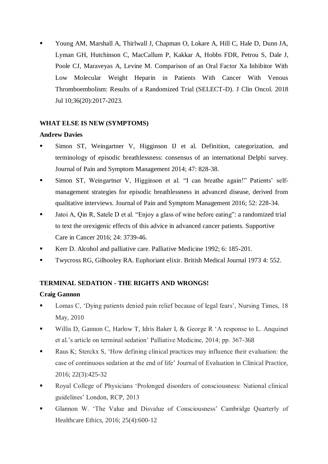Young AM, Marshall A, Thirlwall J, Chapman O, Lokare A, Hill C, Hale D, Dunn JA, Lyman GH, Hutchinson C, MacCallum P, Kakkar A, Hobbs FDR, Petrou S, Dale J, Poole CJ, Maraveyas A, Levine M. Comparison of an Oral Factor Xa Inhibitor With Low Molecular Weight Heparin in Patients With Cancer With Venous Thromboembolism: Results of a Randomized Trial (SELECT-D). J Clin Oncol. 2018 Jul 10;36(20):2017-2023.

# **WHAT ELSE IS NEW (SYMPTOMS)**

#### **Andrew Davies**

- Simon ST, Weingartner V, Higginson IJ et al. Definition, categorization, and terminology of episodic breathlessness: consensus of an international Delphi survey. Journal of Pain and Symptom Management 2014; 47: 828-38.
- Simon ST, Weingartner V, Higginson et al. "I can breathe again!" Patients' selfmanagement strategies for episodic breathlessness in advanced disease, derived from qualitative interviews. Journal of Pain and Symptom Management 2016; 52: 228-34.
- Jatoi A, Qin R, Satele D et al. "Enjoy a glass of wine before eating": a randomized trial to text the orexigenic effects of this advice in advanced cancer patients. Supportive Care in Cancer 2016; 24: 3739-46.
- Kerr D. Alcohol and palliative care. Palliative Medicine 1992; 6: 185-201.
- Twycross RG, Gilhooley RA. Euphoriant elixir. British Medical Journal 1973 4: 552.

# **TERMINAL SEDATION - THE RIGHTS AND WRONGS!**

# **Craig Gannon**

- Lomas C, 'Dying patients denied pain relief because of legal fears', Nursing Times, 18 May, 2010
- Willis D, Gannon C, Harlow T, Idris Baker I, & George R 'A response to L. Anquinet et al.'s article on terminal sedation' Palliative Medicine, 2014; pp. 367-368
- Raus K; Sterckx S, 'How defining clinical practices may influence their evaluation: the case of continuous sedation at the end of life' Journal of Evaluation in Clinical Practice, 2016; 22(3):425-32
- Royal College of Physicians 'Prolonged disorders of consciousness: National clinical guidelines' London, RCP, 2013
- Glannon W. 'The Value and Disvalue of Consciousness' Cambridge Quarterly of Healthcare Ethics, 2016; 25(4):600-12